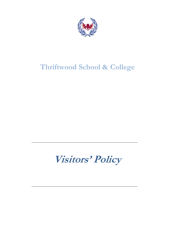

# **Thriftwood School & College**

**Visitors' Policy**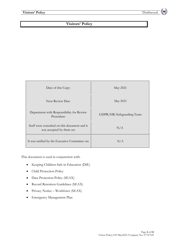# **Visitors' Policy**

| Date of this Copy:                                                       | May 2021                  |
|--------------------------------------------------------------------------|---------------------------|
| <b>Next Review Due:</b>                                                  | May 2023                  |
| Department with Responsibility for Review<br>Procedure:                  | GDPR/HR/Safeguarding Team |
| Staff were consulted on this document and it<br>was accepted by them on: | N/A                       |
| It was ratified by the Executive Committee on:                           | N/A                       |

This document is used in conjunction with:

- Keeping Children Safe in Education (DfE)
- Child Protection Policy
- Data Protection Policy (SEAX)
- Record Retention Guidelines (SEAX)
- Privacy Notice Workforce (SEAX)
- Emergency Management Plan

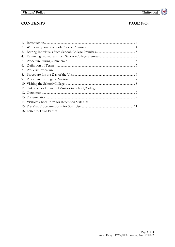# **CONTENTS**

# PAGE NO:

| 3. |  |
|----|--|
| 4. |  |
|    |  |
| 6. |  |
|    |  |
|    |  |
|    |  |
|    |  |
|    |  |
|    |  |
|    |  |
|    |  |
|    |  |
|    |  |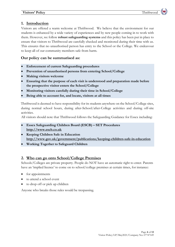#### **1. Introduction**

Visitors are offered a warm welcome at Thriftwood. We believe that the environment for our students is enhanced by a wide variety of experiences and by new people coming in to work with them. However, we follow **robust safeguarding systems** and this policy has been put in place to ensure that visitors to Thriftwood are carefully checked and monitored during their time with us. This ensures that no unauthorised person has entry to the School or the College. We endeavour to keep all of our community members safe from harm.

#### **Our policy can be summarised as:**

- **Enforcement of current Safeguarding procedures**
- **Prevention of unauthorised persons from entering School/College**
- **Making visitors welcome**
- **Ensuring that the purpose of each visit is understood and preparation made before the prospective visitor enters the School/College**
- **Monitoring visitors carefully during their time in School/College**
- **Being able to account for, and locate, visitors at all times**

Thriftwood is deemed to have responsibility for its students anywhere on the School/College sites, during normal school hours, during after-School/after-College activities and during off-site activities.

All visitors should note that Thriftwood follows the Safeguarding Guidance for Essex including:

- **Essex Safeguarding Children Board (ESCB) – SET Procedures [http://www.escb.co.uk](http://www.escb.co.uk/)**
- **Keeping Children Safe in Education http://www.gov.uk/government/publications/keeping-children-safe-in-education**
- **Working Together to Safeguard Children**

#### **2. Who can go onto School/College Premises**

Schools/Colleges are private property. People do NOT have an automatic right to enter. Parents have an 'implied licence' to come on to school/college premises at certain times, for instance:

- for appointments
- to attend a school event
- to drop off or pick up children

Anyone who breaks those rules would be trespassing.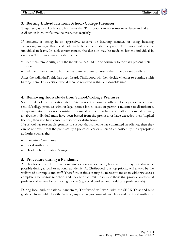## **3. Barring Individuals from School/College Premises**

Trespassing is a civil offence. This means that Thriftwood can ask someone to leave and take civil action in court if someone trespasses regularly.

If someone is acting in an aggressive, abusive or insulting manner, or using insulting behaviour/language that could potentially be a risk to staff or pupils, Thriftwood will ask the individual to leave. In such circumstances, the decision may be made to bar the individual in question. Thriftwood may decide to either:

- bar them temporarily, until the individual has had the opportunity to formally present their side
- tell them they intend to bar them and invite them to present their side by a set deadline

After the individual's side has been heard, Thriftwood will then decide whether to continue with barring them. This decision would then be reviewed within a reasonable time.

#### **4. Removing Individuals from School/College Premises**

Section 547 of the Education Act 1996 makes it a criminal offence for a person who is on school/college premises without legal permission to cause or permit a nuisance or disturbance. Trespassing itself does not constitute a criminal offence. To have committed a criminal offence, an abusive individual must have been barred from the premises or have exceeded their 'implied licence', then also have caused a nuisance or disturbance.

If a school has reasonable grounds to suspect that someone has committed an offence, then they can be removed from the premises by a police officer or a person authorised by the appropriate authority such as the:

- Executive Committee
- **Local Authority**
- Headteacher or Estate Manager

#### **5. Procedure during a Pandemic**

At Thriftwood, we like to give our visitors a warm welcome, however, this may not always be possible during a local or national pandemic. At Thriftwood, our top priority will always be the welfare of our pupils and staff. Therefore, at times it may be necessary for us to withdraw access completely for visitors to School and College or to limit the visits to those that provide an essential professional service for our young people (e.g. social workers and healthcare professionals).

During local and/or national pandemics, Thriftwood will work with the SEAX Trust and take guidance from Public Health England, any current government guidelines and the Local Authority.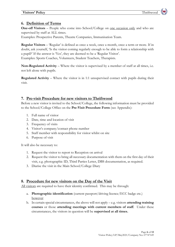# **6. Definition of Terms**

**One-off Visitors** – People who come into School/College on <u>one occasion only</u> and who are supervised by staff at ALL times.

Examples: Prospective Parents, Theatre Companies, Immunisation Team.

**Regular Visitors** – 'Regular' is defined as once a week, once a month, once a term or more. If in doubt, ask yourself, 'Is the visitor coming regularly enough to be able to form a relationship with a pupil?' If the answer is 'Yes', they are deemed to be a 'Regular Visitor'. Examples: Sports Coaches, Volunteers, Student Teachers, Therapists.

**Non-Regulated Activity** – Where the visitor is supervised by a member of staff at all times, i.e. not left alone with pupils.

**Regulated Activity** – Where the visitor is in 1:1 unsupervised contact with pupils during their visit.

#### **7. Pre-visit Procedure for new visitors to Thriftwood**

Before a new visitor is invited to the School/College, the following information must be provided to the School/College Office on the **Pre-Visit Procedure Form** (see Appendix):

- 1. Full name of visitor
- 2. Date, time and location of visit
- 3. Frequency of visits
- 4. Visitor's company/contact phone number
- 5. Staff member with responsibility for visitor whilst on site
- 6. Purpose of visit

It will also be necessary to:

- 1. Request the visitor to report to Reception on arrival
- 2. Request the visitor to bring all necessary documentation with them on the first day of their visit, e.g. photographic ID, Third Parties Letter, DBS documentation, as required.
- 3. Diarise the visit in the Main School/College Diary

#### **8. Procedure for new visitors on the Day of the Visit**

All visitors are required to have their identity confirmed. This may be through:

- a. **Photographic identification** (current passport/driving licence/ECC badge etc.) however
- b. In certain special circumstances, the above will not apply e.g. visitors **attending training courses** or those **attending meetings with current members of staff**. Under these circumstances, the visitors in question will be **supervised at all times.**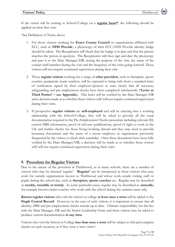If the visitor will be coming to School/College on a **regular basis\***, the following should be applied on their first visit:

\*See Definition of Terms above

- 1. For those visitors working for **Essex County Council** or organisations affiliated with ECC, such as **NHS Provide**, a photocopy of their ECC/NHS Provide identity badge should be taken. The Receptionist will check that the badge is in date and that the picture matches the person in question. The Receptionist will then sign and date the photocopy and pass it to the Data Manager/HR, noting the purpose of the visit, the name of the contact staff member during the visit and the frequency of the visits going forward. These visitors will not require continued supervision during their visit.
- 2. Those **regular visitors** working for a range of **other providers**, such as therapists, sports coaches, peripatetic music teachers, will be expected to bring with them a standard letter of verification signed by their employer/sponsor to state clearly that all necessary safeguarding and pre-employment checks have been completed satisfactorily (**'Letter to Third Parties' – see Appendix**). This letter will be verified by the Data Manager/HR and a decision made as to whether these visitors will/will not require continued supervision during their visits.
- 3. If prospective **regular visitors** are **self-employed** and will be entering into a working relationship with the School/College, they will be asked to provide all the usual documentation required in the Pre-Employment Checks procedure including relevant ID, current DBS information, proof of relevant qualifications, proof of right to work in the UK and further checks for those living/working abroad and they may need to provide insurance documents and the name of a recent employer or organisation previously frequented by the visitor, to check their suitability. Once these documents have been fully verified by the Data Manager/HR, a decision will be made as to whether these visitors will/will not require continued supervision during their visits.

#### **9. Procedure for Regular Visitors**

Due to the nature of the provision at Thriftwood, as in many schools, there are a number of visitors who may be deemed 'regular'. '**Regular'** can be interpreted as those visitors who may work for outside organisations known to Thriftwood and whose work entails visiting staff or pupils during the school day, such as **therapists, sports coaches** etc. Regular may be described as **weekly, monthly or termly**. In some particular cases, regular may be described as **annually**; for example known cricket coaches who work with the school during the summer term only.

**Known regular visitors** who visit the school or college **at least once a term** will be added to the **Single Central Record**. However, in the case of such visitors, it is important to ensure that all identity, DBS and pre-employment checks remain up to date. Ultimate responsibility for this lies with the Data Manager, HR and the Senior Leadership Team and these visitors may be asked to produce current documentation **at any time**.

Visitors who visit the School or College **less than once a term** will be subject to full and complete checks on each occasion, as if they were a 'new visitor'.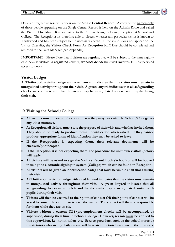Details of regular visitors will appear on the **Single Central Record**. A copy of the **names only** of those people appearing on the Single Central Record is held on the **Admin Drive** and called the **Visitor Checklist**. It is accessible to the Admin Team, including Reception at School and College. The Receptionist is therefore able to discern whether any particular visitor is known to Thriftwood and has been subject to the necessary checks. If the visitor does not appear on the Visitor Checklist, the **Visitor Check Form for Reception Staff Use** should be completed and returned to the Data Manager (see Appendix).

**IMPORTANT** - Please Note that if visitors are **regular**, they will be subject to the same rigidity of checks as visitors in **regulated** activity, **whether or not** their visit involves 1:1 unsupervised access to pupils.

#### **Visitor Badges**

**At Thriftwood, a visitor badge with a red lanyard indicates that the visitor must remain in unregulated activity throughout their visit. A green lanyard indicates that all safeguarding checks are complete and that the visitor may be in regulated contact with pupils during their visit.**

#### **10.Visiting the School/College**

- **All visitors must report to Reception first – they may not enter the School/College via any other entrance.**
- **At Reception, all visitors must state the purpose of their visit and who has invited them. They should be ready to produce formal identification when asked. If they cannot produce appropriate forms of identification they may be asked to leave.**
- **If the Receptionist is expecting them, their relevant documents will be checked/photocopied.**
- **If the Receptionist is not expecting them, the procedure for unknown visitors (below) will apply.**
- **All visitors will be asked to sign the Visitors Record Book (School) or will be booked in using the electronic signing in system (College) which can be found in Reception.**
- **All visitors will be given an identification badge that must be visible at all times during their visit.**
- **At Thriftwood, a visitor badge with a red lanyard indicates that the visitor must remain in unregulated activity throughout their visit. A green lanyard indicates that all safeguarding checks are complete and that the visitor may be in regulated contact with pupils during their visit.**
- **Visitors will then be escorted to their point of contact OR their point of contact will be asked to come to Reception to receive the visitor. The contact will then be responsible for them while they are on site.**
- **Visitors without a current DBS/pre-employment checks will be accompanied, or supervised, during their time in School/College. However, reason must be applied to this supervision, i.e. not in toilets etc. Service providers, such as the school nurse or music tutors who are regularly on site will have an induction to safe use of the premises.**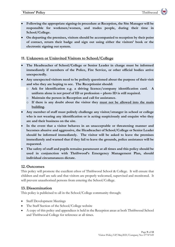- **Following the appropriate signing-in procedure at Reception, the Site Manager will be responsible for workmen/women, and trades people, during their time in School/College.**
- **On departing the premises, visitors should be accompanied to reception by their point of contact, return their badge and sign out using either the visitors' book or the electronic signing out system.**

# **11. Unknown or Uninvited Visitors to School/College**

- **The Headteacher of School/College or Senior Leader in charge must be informed immediately if members of the Police, Fire Service, or other official bodies arrive unexpectedly.**
- **Any unexpected visitors need to be politely questioned about the purpose of their visit and who they are hoping to see. The Receptionist should:** 
	- o **Ask for identification e.g. a driving licence/company identification card. A uniform alone is not proof of ID or profession – photo ID is still required.**
	- o **Maintain the person in Reception and call for assistance.**
	- o **If there is any doubt about the visitor they must not be allowed into the main building.**
- **Any member of staff must politely challenge any visitor/stranger in school or college who is not wearing any identification or is acting suspiciously and enquire who they are and their business on the site.**
- **In the event that a visitor behaves in an unacceptable or threatening manner and becomes abusive and aggressive, the Headteacher of School/College or Senior Leader should be informed immediately. The visitor will be asked to leave the premises immediately and warned that if they fail to leave the grounds, police assistance will be requested.**
- **The safety of staff and pupils remains paramount at all times and this policy should be used in conjunction with Thriftwood's Emergency Management Plan, should individual circumstances dictate.**

# **12.Outcomes**

This policy will promote the excellent ethos of Thriftwood School & College. It will ensure that children and staff are safe and that visitors are properly welcomed, supervised and monitored. It will prevent unauthorised persons from entering the School/College.

# **13.Dissemination**

This policy is publicised to all in the School/College community through:

- Staff Development Meetings
- The Staff Section of the School/College website
- A copy of this policy and appendices is held in the Reception areas at both Thriftwood School and Thriftwood College for reference at all times.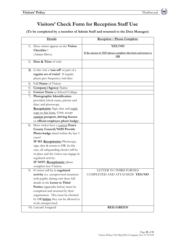# **Visitors' Check Form for Reception Staff Use**

**(To be completed by a member of Admin Staff and returned to the Data Manager)**

|                              | Details                                                                        | <b>Reception - Please Complete:</b>                                             |
|------------------------------|--------------------------------------------------------------------------------|---------------------------------------------------------------------------------|
| 1)                           | Does visitor appear on the Visitor<br>Checklist?                               | YES/NO                                                                          |
|                              | (Admin Drive)                                                                  | If the answer is 'NO' please complete this form and return to<br>H <sub>R</sub> |
| 2)                           | Date & Time of visit:                                                          |                                                                                 |
| 3)                           | Is this visit a <b>'one-off'</b> or part of a                                  |                                                                                 |
|                              | regular set of visits? If regular                                              |                                                                                 |
|                              | please give frequency/end date:                                                |                                                                                 |
| 4)                           | Full Name of Visitor:                                                          |                                                                                 |
| 5)                           | Company/Agency Name:                                                           |                                                                                 |
| $\left( \frac{1}{2} \right)$ | <b>Contact Name</b> at School/College:                                         |                                                                                 |
| 7)                           | Photographic Identification                                                    |                                                                                 |
|                              | provided (check name, picture and                                              |                                                                                 |
|                              | date) and photocopy.                                                           |                                                                                 |
|                              | Receptionist: Sign, date and staple                                            |                                                                                 |
|                              | copy to this form. (Only accept                                                |                                                                                 |
|                              | current passport, driving licence                                              |                                                                                 |
|                              | or official employee photo badge)                                              |                                                                                 |
| 8)                           | Does visitor have a current Essex                                              |                                                                                 |
|                              | <b>County Council/NHS Provide</b>                                              |                                                                                 |
|                              | Photo-badge dated within the last 3                                            |                                                                                 |
|                              | years?                                                                         |                                                                                 |
|                              | IF SO: Receptionist: Photocopy,                                                |                                                                                 |
|                              | sign, date & return to HR. In this                                             |                                                                                 |
|                              | case, all safeguarding checks will be                                          |                                                                                 |
|                              | in place and the visitor can engage in                                         |                                                                                 |
|                              | regulated activity.                                                            |                                                                                 |
|                              | IF NOT: Receptionist: please                                                   |                                                                                 |
|                              | complete box 9 below.                                                          |                                                                                 |
| 9)                           | If visitor will be in regulated                                                | LETTER TO THIRD PARTIES<br>COMPLETED AND ATTACHED? YES/NO                       |
|                              | activity (i.e. unsupervised situations<br>with pupils) during visit then: full |                                                                                 |
|                              | details in the Letter to Third                                                 |                                                                                 |
|                              | Parties (appendix below) must be                                               |                                                                                 |
|                              | completed and returned by their                                                |                                                                                 |
|                              | organisation. This must be checked                                             |                                                                                 |
|                              | by HR <b>before</b> they can be allowed to                                     |                                                                                 |
|                              | work unsupervised.                                                             |                                                                                 |
|                              | 10) Lanyard Assigned:                                                          | <b>RED/GREEN</b>                                                                |
|                              |                                                                                |                                                                                 |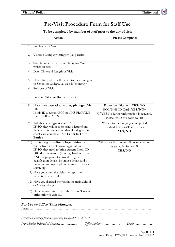# **Pre-Visit Procedure Form for Staff Use**

#### **To be completed by member of staff prior to the day of visit**

|    | <b>Action</b>                                                                                                                                                                                                                                                                                                                                 | <b>Please Complete:</b>                                                                                                                  |
|----|-----------------------------------------------------------------------------------------------------------------------------------------------------------------------------------------------------------------------------------------------------------------------------------------------------------------------------------------------|------------------------------------------------------------------------------------------------------------------------------------------|
| 1) | Full Name of Visitor:                                                                                                                                                                                                                                                                                                                         |                                                                                                                                          |
| 2) | Visitor's Company/category (i.e. parent):                                                                                                                                                                                                                                                                                                     |                                                                                                                                          |
| 3) | Staff Member with responsibility for Visitor<br>whilst on site:                                                                                                                                                                                                                                                                               |                                                                                                                                          |
| 4) | Date, Time and Length of Visit:                                                                                                                                                                                                                                                                                                               |                                                                                                                                          |
| 5) | How often/when will the Visitor be coming in<br>to School or College, i.e. weekly/monthly?                                                                                                                                                                                                                                                    |                                                                                                                                          |
| 6) | Purpose of Visit:                                                                                                                                                                                                                                                                                                                             |                                                                                                                                          |
| 7) | Location/Meeting Room for Visit:                                                                                                                                                                                                                                                                                                              |                                                                                                                                          |
| 8) | Has visitor been asked to bring photographic<br>ID?<br>Is this ID a current ECC or NHS PROVIDE<br>standard ID CARD?                                                                                                                                                                                                                           | Photo Identification: YES/NO<br>ECC/NHS ID Card: YES/NO*<br>*If YES No further information is required.<br>Please return this form to HR |
| 9) | Will this be a regular visitor?<br>IF SO: they will need to bring a letter from<br>their organisation stating that all safeguarding<br>checks are complete - See Letter to Third<br>Parties                                                                                                                                                   | Will visitor be bringing a completed<br>Standard Letter to Third Parties?<br>YES/NO                                                      |
|    | 10) Is this a regular self-employed visitor or a<br>visitor from an unknown organisation?<br>IF SO: they need to bring current Photo ID,<br>DBS documentation (if in regulated activity)<br>AND be prepared to provide original<br>qualification details, insurance details and a<br>previous employer's phone number to check<br>suitability | Will visitor be bringing all documentation<br>as stated in Section 9?<br>YES/NO                                                          |
|    | 11) Have you asked the visitor to report to<br>Reception on arrival?                                                                                                                                                                                                                                                                          |                                                                                                                                          |
|    | 12) Have you diarised the visit in the main School<br>or College diary?                                                                                                                                                                                                                                                                       |                                                                                                                                          |
|    | 13) Please return this form to the School/College<br>office prior to visit day                                                                                                                                                                                                                                                                |                                                                                                                                          |

#### **For Use by Office/Data Manager:**

| Permission necessary from Safeguarding Designate? YES/NO   |  |
|------------------------------------------------------------|--|
| Staff Member Informed of Outcome:  Office Initials:  Date: |  |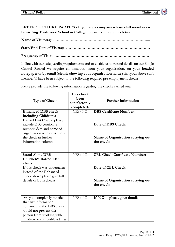**LETTER TO THIRD PARTIES - If you are a company whose staff members will be visiting Thriftwood School or College, please complete this letter:**

**Name of Visitor(s): .……………………………………………………………….... Start/End Date of Visit(s): …………………………………………………………**

**Frequency of Visits: ……..……………………………………………………………**

In line with our safeguarding requirements and to enable us to record details on our Single Central Record we require confirmation from your organisation, on your **headed notepaper** or **by email (clearly showing your organisation name)** that your above staff member(s) have been subject to the following required pre-employment checks.

Please provide the following information regarding the checks carried out:

| <b>Type of Check</b>                                                                                                                                                       | Has check<br>been<br>satisfactorily<br>completed? | <b>Further information</b>                      |
|----------------------------------------------------------------------------------------------------------------------------------------------------------------------------|---------------------------------------------------|-------------------------------------------------|
| <b>Enhanced DBS check</b>                                                                                                                                                  | YES/NO                                            | <b>DBS</b> Certificate Number:                  |
| including Children's                                                                                                                                                       |                                                   |                                                 |
| <b>Barred List Check: please</b><br>include DBS certificate<br>number, date and name of<br>organisation who carried out                                                    |                                                   | Date of DBS Check:                              |
| the check in further<br>information column                                                                                                                                 |                                                   | Name of Organisation carrying out<br>the check: |
| <b>Stand Alone DBS</b>                                                                                                                                                     | YES/NO                                            | <b>CBL Check Certificate Number:</b>            |
| <b>Children's Barred List</b>                                                                                                                                              |                                                   |                                                 |
| check:<br>If this check was undertaken<br>instead of the Enhanced<br>check above please give full                                                                          |                                                   | Date of CBL Check:                              |
| details of <b>both</b> checks                                                                                                                                              |                                                   | Name of Organisation carrying out<br>the check: |
| Are you completely satisfied<br>that any information<br>contained in the DBS check<br>would not prevent this<br>person from working with<br>children or vulnerable adults? | YES/NO                                            | If 'NO' - please give details:                  |